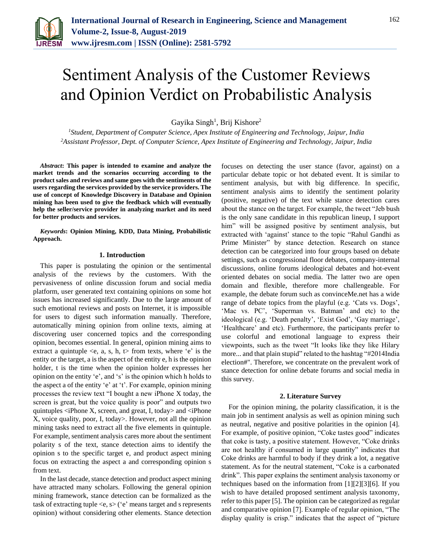

# Sentiment Analysis of the Customer Reviews and Opinion Verdict on Probabilistic Analysis

Gayika Singh<sup>1</sup>, Brij Kishore<sup>2</sup>

*<sup>1</sup>Student, Department of Computer Science, Apex Institute of Engineering and Technology, Jaipur, India 2Assistant Professor, Dept. of Computer Science, Apex Institute of Engineering and Technology, Jaipur, India*

*Abstract***: This paper is intended to examine and analyze the market trends and the scenarios occurring according to the product sales and reviews and same goes with the sentiments of the users regarding the services provided by the service providers. The use of concept of Knowledge Discovery in Database and Opinion mining has been used to give the feedback which will eventually help the seller/service provider in analyzing market and its need for better products and services.**

*Keywords***: Opinion Mining, KDD, Data Mining, Probabilistic Approach.**

# **1. Introduction**

This paper is postulating the opinion or the sentimental analysis of the reviews by the customers. With the pervasiveness of online discussion forum and social media platform, user generated text containing opinions on some hot issues has increased significantly. Due to the large amount of such emotional reviews and posts on Internet, it is impossible for users to digest such information manually. Therefore, automatically mining opinion from online texts, aiming at discovering user concerned topics and the corresponding opinion, becomes essential. In general, opinion mining aims to extract a quintuple  $\leq e$ , a, s, h,  $t$  from texts, where 'e' is the entity or the target, a is the aspect of the entity e, h is the opinion holder, t is the time when the opinion holder expresses her opinion on the entity 'e', and 's' is the opinion which h holds to the aspect a of the entity 'e' at 't'. For example, opinion mining processes the review text "I bought a new iPhone X today, the screen is great, but the voice quality is poor" and outputs two quintuples <iPhone X, screen, and great, I, today> and <iPhone X, voice quality, poor, I, today>. However, not all the opinion mining tasks need to extract all the five elements in quintuple. For example, sentiment analysis cares more about the sentiment polarity s of the text, stance detection aims to identify the opinion s to the specific target e, and product aspect mining focus on extracting the aspect a and corresponding opinion s from text.

In the last decade, stance detection and product aspect mining have attracted many scholars. Following the general opinion mining framework, stance detection can be formalized as the task of extracting tuple  $\langle e, s \rangle$  ('e' means target and s represents opinion) without considering other elements. Stance detection focuses on detecting the user stance (favor, against) on a particular debate topic or hot debated event. It is similar to sentiment analysis, but with big difference. In specific, sentiment analysis aims to identify the sentiment polarity (positive, negative) of the text while stance detection cares about the stance on the target. For example, the tweet "Jeb bush is the only sane candidate in this republican lineup, I support him" will be assigned positive by sentiment analysis, but extracted with 'against' stance to the topic "Rahul Gandhi as Prime Minister" by stance detection. Research on stance detection can be categorized into four groups based on debate settings, such as congressional floor debates, company-internal discussions, online forums ideological debates and hot-event oriented debates on social media. The latter two are open domain and flexible, therefore more challengeable. For example, the debate forum such as convinceMe.net has a wide range of debate topics from the playful (e.g. 'Cats vs. Dogs', 'Mac vs. PC', 'Superman vs. Batman' and etc) to the ideological (e.g. 'Death penalty', 'Exist God', 'Gay marriage', 'Healthcare' and etc). Furthermore, the participants prefer to use colorful and emotional language to express their viewpoints, such as the tweet "It looks like they like Hilary more... and that plain stupid" related to the hashtag "#2014India election#". Therefore, we concentrate on the prevalent work of stance detection for online debate forums and social media in this survey.

### **2. Literature Survey**

For the opinion mining, the polarity classification, it is the main job in sentiment analysis as well as opinion mining such as neutral, negative and positive polarities in the opinion [4]. For example, of positive opinion, "Coke tastes good" indicates that coke is tasty, a positive statement. However, "Coke drinks are not healthy if consumed in large quantity" indicates that Coke drinks are harmful to body if they drink a lot, a negative statement. As for the neutral statement, "Coke is a carbonated drink". This paper explains the sentiment analysis taxonomy or techniques based on the information from [1][2][3][6]. If you wish to have detailed proposed sentiment analysis taxonomy, refer to this paper [5]. The opinion can be categorized as regular and comparative opinion [7]. Example of regular opinion, "The display quality is crisp." indicates that the aspect of "picture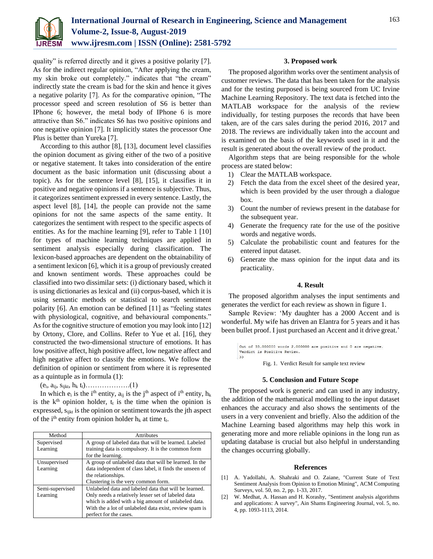

quality" is referred directly and it gives a positive polarity [7]. As for the indirect regular opinion, "After applying the cream, my skin broke out completely." indicates that "the cream" indirectly state the cream is bad for the skin and hence it gives a negative polarity [7]. As for the comparative opinion, "The processor speed and screen resolution of S6 is better than IPhone 6; however, the metal body of IPhone 6 is more attractive than S6." indicates S6 has two positive opinions and one negative opinion [7]. It implicitly states the processor One Plus is better than Yureka [7].

According to this author [8], [13], document level classifies the opinion document as giving either of the two of a positive or negative statement. It takes into consideration of the entire document as the basic information unit (discussing about a topic). As for the sentence level [8], [15], it classifies it in positive and negative opinions if a sentence is subjective. Thus, it categorizes sentiment expressed in every sentence. Lastly, the aspect level [8], [14], the people can provide not the same opinions for not the same aspects of the same entity. It categorizes the sentiment with respect to the specific aspects of entities. As for the machine learning [9], refer to Table 1 [10] for types of machine learning techniques are applied in sentiment analysis especially during classification. The lexicon-based approaches are dependent on the obtainability of a sentiment lexicon [6], which it is a group of previously created and known sentiment words. These approaches could be classified into two dissimilar sets: (i) dictionary based, which it is using dictionaries as lexical and (ii) corpus-based, which it is using semantic methods or statistical to search sentiment polarity [6]. An emotion can be defined [11] as "feeling states with physiological, cognitive, and behavioural components." As for the cognitive structure of emotion you may look into [12] by Ortony, Clore, and Collins. Refer to Yue et al. [16], they constructed the two-dimensional structure of emotions. It has low positive affect, high positive affect, low negative affect and high negative affect to classify the emotions. We follow the definition of opinion or sentiment from where it is represented as a quintuple as in formula (1):

(ei, aij, sijkt, h<sup>k</sup> tt)……………….(1)

In which  $e_i$  is the i<sup>th</sup> entity,  $a_{ij}$  is the j<sup>th</sup> aspect of i<sup>th</sup> entity,  $h_k$ is the  $k<sup>th</sup>$  opinion holder,  $t<sub>t</sub>$  is the time when the opinion is expressed, s<sub>ijkt</sub> is the opinion or sentiment towards the jth aspect of the i<sup>th</sup> entity from opinion holder  $h_k$  at time  $t_t$ .

| Method          | <b>Attributes</b>                                       |
|-----------------|---------------------------------------------------------|
| Supervised      | A group of labeled data that will be learned. Labeled   |
| Learning        | training data is compulsory. It is the common form      |
|                 | for the learning.                                       |
| Unsupervised    | A group of unlabeled data that will be learned. In the  |
| Learning        | data independent of class label, it finds the unseen of |
|                 | the relationships.                                      |
|                 | Clustering is the very common form.                     |
| Semi-supervised | Unlabeled data and labeled data that will be learned.   |
| Learning        | Only needs a relatively lesser set of labeled data      |
|                 | which is added with a big amount of unlabeled data.     |
|                 | With the a lot of unlabeled data exist, review spam is  |
|                 | perfect for the cases.                                  |

# **3. Proposed work**

The proposed algorithm works over the sentiment analysis of customer reviews. The data that has been taken for the analysis and for the testing purposed is being sourced from UC Irvine Machine Learning Repository. The text data is fetched into the MATLAB workspace for the analysis of the review individually, for testing purposes the records that have been taken, are of the cars sales during the period 2016, 2017 and 2018. The reviews are individually taken into the account and is examined on the basis of the keywords used in it and the result is generated about the overall review of the product.

Algorithm steps that are being responsible for the whole process are stated below:

- 1) Clear the MATLAB workspace.
- 2) Fetch the data from the excel sheet of the desired year, which is been provided by the user through a dialogue box.
- 3) Count the number of reviews present in the database for the subsequent year.
- 4) Generate the frequency rate for the use of the positive words and negative words.
- 5) Calculate the probabilistic count and features for the entered input dataset.
- 6) Generate the mass opinion for the input data and its practicality.

# **4. Result**

The proposed algorithm analyses the input sentiments and generates the verdict for each review as shown in figure 1.

Sample Review: 'My daughter has a 2000 Accent and is wonderful. My wife has driven an Elantra for 5 years and it has been bullet proof. I just purchased an Accent and it drive great.'

```
Out of 33.000000 words 2.000000 are positive and 0 are negative.
 Verdict is Positive Review.
\rightarrow
```
Fig. 1. Verdict Result for sample text review

### **5. Conclusion and Future Scope**

The proposed work is generic and can used in any industry, the addition of the mathematical modelling to the input dataset enhances the accuracy and also shows the sentiments of the users in a very convenient and briefly. Also the addition of the Machine Learning based algorithms may help this work in generating more and more reliable opinions in the long run as updating database is crucial but also helpful in understanding the changes occurring globally.

### **References**

- [1] A. Yadollahi, A. Shahraki and O. Zaiane, "Current State of Text Sentiment Analysis from Opinion to Emotion Mining", ACM Computing Surveys, vol. 50, no. 2, pp. 1-33, 2017.
- [2] W. Medhat, A. Hassan and H. Korashy, "Sentiment analysis algorithms and applications: A survey", Ain Shams Engineering Journal, vol. 5, no. 4, pp. 1093-1113, 2014.